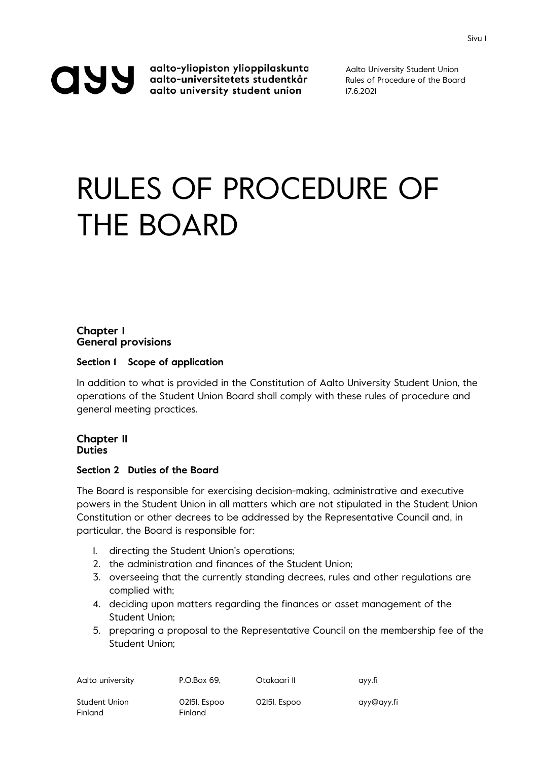aalto-yliopiston ylioppilaskunta<br>aalto-universitetets studentkår<br>aalto university student union

Aalto University Student Union Rules of Procedure of the Board 17.6.2021

# RULES OF PROCEDURE OF THE BOARD

# **Chapter I General provisions**

# **Section 1 Scope of application**

In addition to what is provided in the Constitution of Aalto University Student Union, the operations of the Student Union Board shall comply with these rules of procedure and general meeting practices.

# **Chapter II Duties**

### **Section 2 Duties of the Board**

The Board is responsible for exercising decision-making, administrative and executive powers in the Student Union in all matters which are not stipulated in the Student Union Constitution or other decrees to be addressed by the Representative Council and, in particular, the Board is responsible for:

- 1. directing the Student Union's operations;
- 2. the administration and finances of the Student Union;
- 3. overseeing that the currently standing decrees, rules and other regulations are complied with;
- 4. deciding upon matters regarding the finances or asset management of the Student Union;
- 5. preparing a proposal to the Representative Council on the membership fee of the Student Union;

| Aalto university         | P.O.Box 69.             | Otakaari II  | ayy.fi     |
|--------------------------|-------------------------|--------------|------------|
| Student Union<br>Finland | 02151, Espoo<br>Finland | 02151, Espoo | ayy@ayy.fi |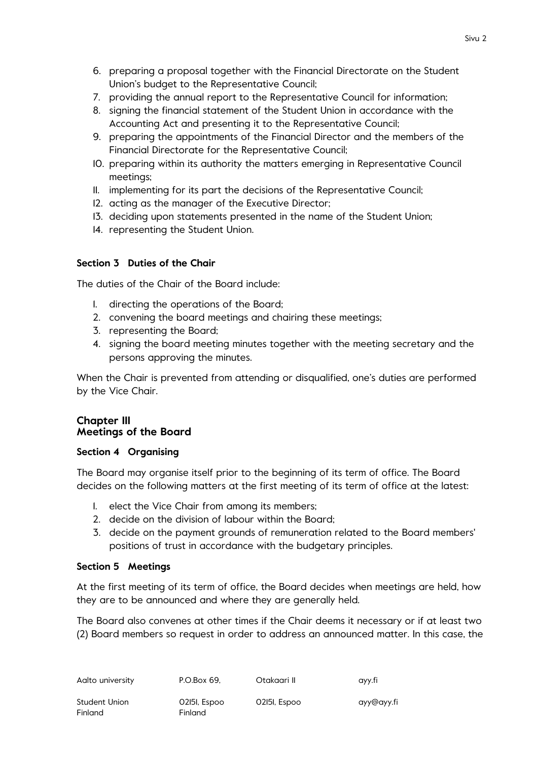- 6. preparing a proposal together with the Financial Directorate on the Student Union's budget to the Representative Council;
- 7. providing the annual report to the Representative Council for information;
- 8. signing the financial statement of the Student Union in accordance with the Accounting Act and presenting it to the Representative Council;
- 9. preparing the appointments of the Financial Director and the members of the Financial Directorate for the Representative Council;
- 10. preparing within its authority the matters emerging in Representative Council meetings;
- 11. implementing for its part the decisions of the Representative Council;
- 12. acting as the manager of the Executive Director;
- 13. deciding upon statements presented in the name of the Student Union;
- 14. representing the Student Union.

# **Section 3 Duties of the Chair**

The duties of the Chair of the Board include:

- 1. directing the operations of the Board;
- 2. convening the board meetings and chairing these meetings;
- 3. representing the Board;
- 4. signing the board meeting minutes together with the meeting secretary and the persons approving the minutes.

When the Chair is prevented from attending or disqualified, one's duties are performed by the Vice Chair.

# **Chapter III Meetings of the Board**

# **Section 4 Organising**

The Board may organise itself prior to the beginning of its term of office. The Board decides on the following matters at the first meeting of its term of office at the latest:

- 1. elect the Vice Chair from among its members;
- 2. decide on the division of labour within the Board;
- 3. decide on the payment grounds of remuneration related to the Board members' positions of trust in accordance with the budgetary principles.

# **Section 5 Meetings**

At the first meeting of its term of office, the Board decides when meetings are held, how they are to be announced and where they are generally held.

The Board also convenes at other times if the Chair deems it necessary or if at least two (2) Board members so request in order to address an announced matter. In this case, the

| Aalto university | P.O.Box 69.  | Otakaari II  | ayy.fi     |
|------------------|--------------|--------------|------------|
| Student Union    | 02151, Espoo | 02151, Espoo | ayy@ayy.fi |
| Finland          | Finland      |              |            |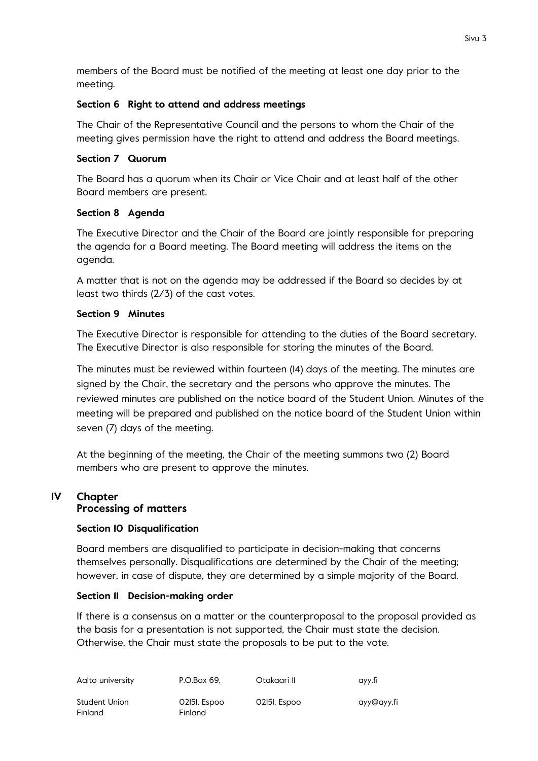members of the Board must be notified of the meeting at least one day prior to the meeting.

# **Section 6 Right to attend and address meetings**

The Chair of the Representative Council and the persons to whom the Chair of the meeting gives permission have the right to attend and address the Board meetings.

# **Section 7 Quorum**

The Board has a quorum when its Chair or Vice Chair and at least half of the other Board members are present.

# **Section 8 Agenda**

The Executive Director and the Chair of the Board are jointly responsible for preparing the agenda for a Board meeting. The Board meeting will address the items on the agenda.

A matter that is not on the agenda may be addressed if the Board so decides by at least two thirds (2/3) of the cast votes.

# **Section 9 Minutes**

The Executive Director is responsible for attending to the duties of the Board secretary. The Executive Director is also responsible for storing the minutes of the Board.

The minutes must be reviewed within fourteen (14) days of the meeting. The minutes are signed by the Chair, the secretary and the persons who approve the minutes. The reviewed minutes are published on the notice board of the Student Union. Minutes of the meeting will be prepared and published on the notice board of the Student Union within seven (7) days of the meeting.

At the beginning of the meeting, the Chair of the meeting summons two (2) Board members who are present to approve the minutes.

# **IV Chapter Processing of matters**

# **Section 10 Disqualification**

Board members are disqualified to participate in decision-making that concerns themselves personally. Disqualifications are determined by the Chair of the meeting; however, in case of dispute, they are determined by a simple majority of the Board.

# **Section 11 Decision-making order**

If there is a consensus on a matter or the counterproposal to the proposal provided as the basis for a presentation is not supported, the Chair must state the decision. Otherwise, the Chair must state the proposals to be put to the vote.

| Aalto university | P.O.Box 69.  | Otakaari II  | ayy.fi     |
|------------------|--------------|--------------|------------|
| Student Union    | 02151, Espoo | 02151, Espoo | ayy@ayy.fi |
| Finland          | Finland      |              |            |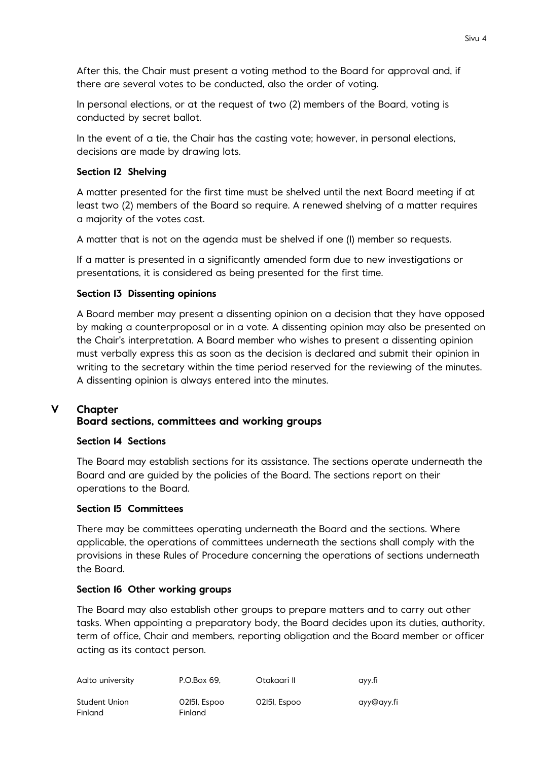After this, the Chair must present a voting method to the Board for approval and, if there are several votes to be conducted, also the order of voting.

In personal elections, or at the request of two (2) members of the Board, voting is conducted by secret ballot.

In the event of a tie, the Chair has the casting vote; however, in personal elections, decisions are made by drawing lots.

# **Section 12 Shelving**

A matter presented for the first time must be shelved until the next Board meeting if at least two (2) members of the Board so require. A renewed shelving of a matter requires a majority of the votes cast.

A matter that is not on the agenda must be shelved if one (1) member so requests.

If a matter is presented in a significantly amended form due to new investigations or presentations, it is considered as being presented for the first time.

# **Section 13 Dissenting opinions**

A Board member may present a dissenting opinion on a decision that they have opposed by making a counterproposal or in a vote. A dissenting opinion may also be presented on the Chair's interpretation. A Board member who wishes to present a dissenting opinion must verbally express this as soon as the decision is declared and submit their opinion in writing to the secretary within the time period reserved for the reviewing of the minutes. A dissenting opinion is always entered into the minutes.

# **V Chapter Board sections, committees and working groups**

### **Section 14 Sections**

The Board may establish sections for its assistance. The sections operate underneath the Board and are guided by the policies of the Board. The sections report on their operations to the Board.

# **Section 15 Committees**

There may be committees operating underneath the Board and the sections. Where applicable, the operations of committees underneath the sections shall comply with the provisions in these Rules of Procedure concerning the operations of sections underneath the Board.

### **Section 16 Other working groups**

The Board may also establish other groups to prepare matters and to carry out other tasks. When appointing a preparatory body, the Board decides upon its duties, authority, term of office, Chair and members, reporting obligation and the Board member or officer acting as its contact person.

| Aalto university         | P.O.Box 69.             | Otakaari II  | ayy.fi     |
|--------------------------|-------------------------|--------------|------------|
| Student Union<br>Finland | 02151, Espoo<br>Finland | 02151, Espoo | ayy@ayy.fi |